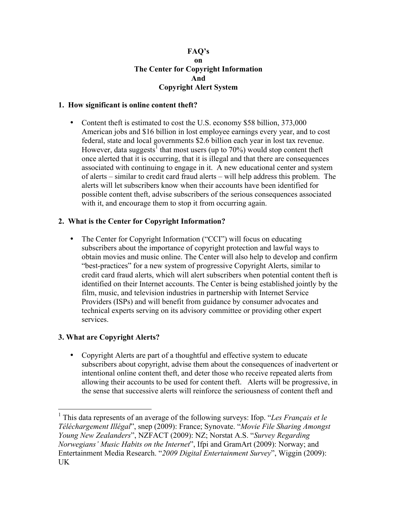## **FAQ's on The Center for Copyright Information And Copyright Alert System**

# **1. How significant is online content theft?**

• Content theft is estimated to cost the U.S. economy \$58 billion, 373,000 American jobs and \$16 billion in lost employee earnings every year, and to cost federal, state and local governments \$2.6 billion each year in lost tax revenue. However, data suggests<sup>1</sup> that most users (up to 70%) would stop content theft once alerted that it is occurring, that it is illegal and that there are consequences associated with continuing to engage in it. A new educational center and system of alerts – similar to credit card fraud alerts – will help address this problem. The alerts will let subscribers know when their accounts have been identified for possible content theft, advise subscribers of the serious consequences associated with it, and encourage them to stop it from occurring again.

## **2. What is the Center for Copyright Information?**

• The Center for Copyright Information ("CCI") will focus on educating subscribers about the importance of copyright protection and lawful ways to obtain movies and music online. The Center will also help to develop and confirm "best-practices" for a new system of progressive Copyright Alerts, similar to credit card fraud alerts, which will alert subscribers when potential content theft is identified on their Internet accounts. The Center is being established jointly by the film, music, and television industries in partnership with Internet Service Providers (ISPs) and will benefit from guidance by consumer advocates and technical experts serving on its advisory committee or providing other expert services.

### **3. What are Copyright Alerts?**

• Copyright Alerts are part of a thoughtful and effective system to educate subscribers about copyright, advise them about the consequences of inadvertent or intentional online content theft, and deter those who receive repeated alerts from allowing their accounts to be used for content theft. Alerts will be progressive, in the sense that successive alerts will reinforce the seriousness of content theft and

 <sup>1</sup> This data represents of an average of the following surveys: Ifop. "*Les Français et le Téléchargement Illégal*", snep (2009): France; Synovate. "*Movie File Sharing Amongst Young New Zealanders*", NZFACT (2009): NZ; Norstat A.S. "*Survey Regarding Norwegians' Music Habits on the Internet*", Ifpi and GramArt (2009): Norway; and Entertainment Media Research. "*2009 Digital Entertainment Survey*", Wiggin (2009): UK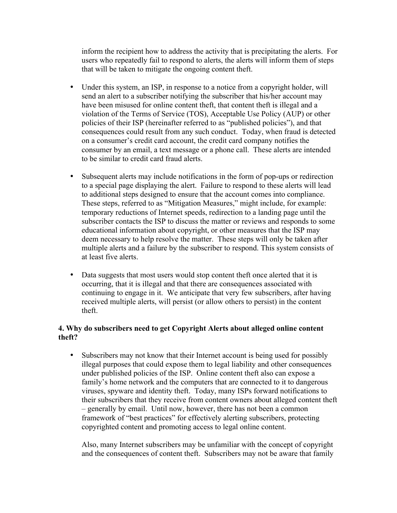inform the recipient how to address the activity that is precipitating the alerts. For users who repeatedly fail to respond to alerts, the alerts will inform them of steps that will be taken to mitigate the ongoing content theft.

- Under this system, an ISP, in response to a notice from a copyright holder, will send an alert to a subscriber notifying the subscriber that his/her account may have been misused for online content theft, that content theft is illegal and a violation of the Terms of Service (TOS), Acceptable Use Policy (AUP) or other policies of their ISP (hereinafter referred to as "published policies"), and that consequences could result from any such conduct. Today, when fraud is detected on a consumer's credit card account, the credit card company notifies the consumer by an email, a text message or a phone call. These alerts are intended to be similar to credit card fraud alerts.
- Subsequent alerts may include notifications in the form of pop-ups or redirection to a special page displaying the alert. Failure to respond to these alerts will lead to additional steps designed to ensure that the account comes into compliance. These steps, referred to as "Mitigation Measures," might include, for example: temporary reductions of Internet speeds, redirection to a landing page until the subscriber contacts the ISP to discuss the matter or reviews and responds to some educational information about copyright, or other measures that the ISP may deem necessary to help resolve the matter. These steps will only be taken after multiple alerts and a failure by the subscriber to respond. This system consists of at least five alerts.
- Data suggests that most users would stop content theft once alerted that it is occurring, that it is illegal and that there are consequences associated with continuing to engage in it. We anticipate that very few subscribers, after having received multiple alerts, will persist (or allow others to persist) in the content theft.

# **4. Why do subscribers need to get Copyright Alerts about alleged online content theft?**

• Subscribers may not know that their Internet account is being used for possibly illegal purposes that could expose them to legal liability and other consequences under published policies of the ISP. Online content theft also can expose a family's home network and the computers that are connected to it to dangerous viruses, spyware and identity theft. Today, many ISPs forward notifications to their subscribers that they receive from content owners about alleged content theft – generally by email. Until now, however, there has not been a common framework of "best practices" for effectively alerting subscribers, protecting copyrighted content and promoting access to legal online content.

Also, many Internet subscribers may be unfamiliar with the concept of copyright and the consequences of content theft. Subscribers may not be aware that family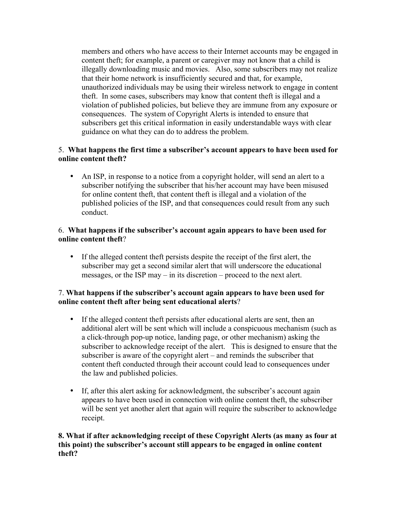members and others who have access to their Internet accounts may be engaged in content theft; for example, a parent or caregiver may not know that a child is illegally downloading music and movies. Also, some subscribers may not realize that their home network is insufficiently secured and that, for example, unauthorized individuals may be using their wireless network to engage in content theft. In some cases, subscribers may know that content theft is illegal and a violation of published policies, but believe they are immune from any exposure or consequences. The system of Copyright Alerts is intended to ensure that subscribers get this critical information in easily understandable ways with clear guidance on what they can do to address the problem.

# 5. **What happens the first time a subscriber's account appears to have been used for online content theft?**

• An ISP, in response to a notice from a copyright holder, will send an alert to a subscriber notifying the subscriber that his/her account may have been misused for online content theft, that content theft is illegal and a violation of the published policies of the ISP, and that consequences could result from any such conduct.

# 6. **What happens if the subscriber's account again appears to have been used for online content theft**?

• If the alleged content theft persists despite the receipt of the first alert, the subscriber may get a second similar alert that will underscore the educational messages, or the ISP may – in its discretion – proceed to the next alert.

# 7. **What happens if the subscriber's account again appears to have been used for online content theft after being sent educational alerts**?

- If the alleged content theft persists after educational alerts are sent, then an additional alert will be sent which will include a conspicuous mechanism (such as a click-through pop-up notice, landing page, or other mechanism) asking the subscriber to acknowledge receipt of the alert. This is designed to ensure that the subscriber is aware of the copyright alert – and reminds the subscriber that content theft conducted through their account could lead to consequences under the law and published policies.
- If, after this alert asking for acknowledgment, the subscriber's account again appears to have been used in connection with online content theft, the subscriber will be sent yet another alert that again will require the subscriber to acknowledge receipt.

# **8. What if after acknowledging receipt of these Copyright Alerts (as many as four at this point) the subscriber's account still appears to be engaged in online content theft?**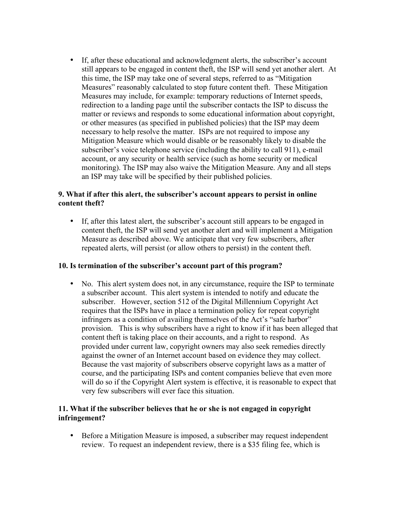• If, after these educational and acknowledgment alerts, the subscriber's account still appears to be engaged in content theft, the ISP will send yet another alert. At this time, the ISP may take one of several steps, referred to as "Mitigation Measures" reasonably calculated to stop future content theft. These Mitigation Measures may include, for example: temporary reductions of Internet speeds, redirection to a landing page until the subscriber contacts the ISP to discuss the matter or reviews and responds to some educational information about copyright, or other measures (as specified in published policies) that the ISP may deem necessary to help resolve the matter. ISPs are not required to impose any Mitigation Measure which would disable or be reasonably likely to disable the subscriber's voice telephone service (including the ability to call 911), e-mail account, or any security or health service (such as home security or medical monitoring). The ISP may also waive the Mitigation Measure. Any and all steps an ISP may take will be specified by their published policies.

# **9. What if after this alert, the subscriber's account appears to persist in online content theft?**

• If, after this latest alert, the subscriber's account still appears to be engaged in content theft, the ISP will send yet another alert and will implement a Mitigation Measure as described above. We anticipate that very few subscribers, after repeated alerts, will persist (or allow others to persist) in the content theft.

### **10. Is termination of the subscriber's account part of this program?**

• No. This alert system does not, in any circumstance, require the ISP to terminate a subscriber account. This alert system is intended to notify and educate the subscriber. However, section 512 of the Digital Millennium Copyright Act requires that the ISPs have in place a termination policy for repeat copyright infringers as a condition of availing themselves of the Act's "safe harbor" provision. This is why subscribers have a right to know if it has been alleged that content theft is taking place on their accounts, and a right to respond. As provided under current law, copyright owners may also seek remedies directly against the owner of an Internet account based on evidence they may collect. Because the vast majority of subscribers observe copyright laws as a matter of course, and the participating ISPs and content companies believe that even more will do so if the Copyright Alert system is effective, it is reasonable to expect that very few subscribers will ever face this situation.

## **11. What if the subscriber believes that he or she is not engaged in copyright infringement?**

• Before a Mitigation Measure is imposed, a subscriber may request independent review. To request an independent review, there is a \$35 filing fee, which is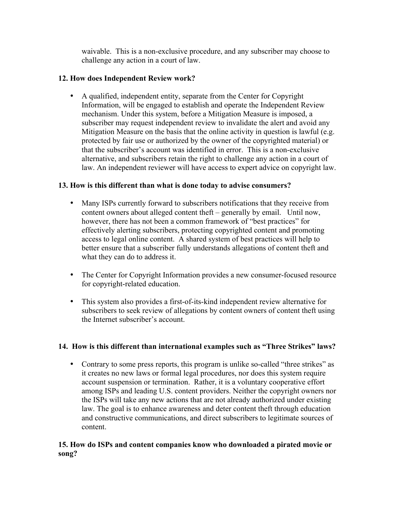waivable. This is a non-exclusive procedure, and any subscriber may choose to challenge any action in a court of law.

# **12. How does Independent Review work?**

• A qualified, independent entity, separate from the Center for Copyright Information, will be engaged to establish and operate the Independent Review mechanism. Under this system, before a Mitigation Measure is imposed, a subscriber may request independent review to invalidate the alert and avoid any Mitigation Measure on the basis that the online activity in question is lawful (e.g. protected by fair use or authorized by the owner of the copyrighted material) or that the subscriber's account was identified in error. This is a non-exclusive alternative, and subscribers retain the right to challenge any action in a court of law. An independent reviewer will have access to expert advice on copyright law.

# **13. How is this different than what is done today to advise consumers?**

- Many ISPs currently forward to subscribers notifications that they receive from content owners about alleged content theft – generally by email. Until now, however, there has not been a common framework of "best practices" for effectively alerting subscribers, protecting copyrighted content and promoting access to legal online content. A shared system of best practices will help to better ensure that a subscriber fully understands allegations of content theft and what they can do to address it.
- The Center for Copyright Information provides a new consumer-focused resource for copyright-related education.
- This system also provides a first-of-its-kind independent review alternative for subscribers to seek review of allegations by content owners of content theft using the Internet subscriber's account.

# **14. How is this different than international examples such as "Three Strikes" laws?**

• Contrary to some press reports, this program is unlike so-called "three strikes" as it creates no new laws or formal legal procedures, nor does this system require account suspension or termination. Rather, it is a voluntary cooperative effort among ISPs and leading U.S. content providers. Neither the copyright owners nor the ISPs will take any new actions that are not already authorized under existing law. The goal is to enhance awareness and deter content theft through education and constructive communications, and direct subscribers to legitimate sources of content.

# **15. How do ISPs and content companies know who downloaded a pirated movie or song?**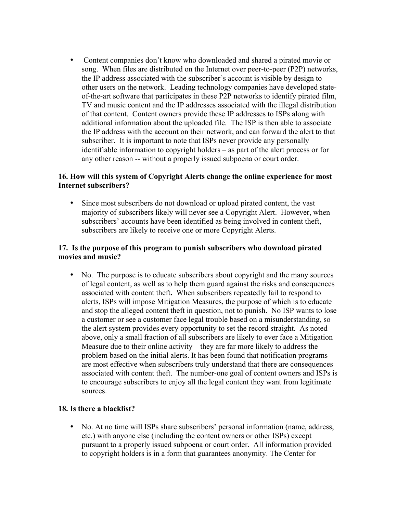• Content companies don't know who downloaded and shared a pirated movie or song. When files are distributed on the Internet over peer-to-peer (P2P) networks, the IP address associated with the subscriber's account is visible by design to other users on the network. Leading technology companies have developed stateof-the-art software that participates in these P2P networks to identify pirated film, TV and music content and the IP addresses associated with the illegal distribution of that content. Content owners provide these IP addresses to ISPs along with additional information about the uploaded file. The ISP is then able to associate the IP address with the account on their network, and can forward the alert to that subscriber. It is important to note that ISPs never provide any personally identifiable information to copyright holders – as part of the alert process or for any other reason -- without a properly issued subpoena or court order.

# **16. How will this system of Copyright Alerts change the online experience for most Internet subscribers?**

• Since most subscribers do not download or upload pirated content, the vast majority of subscribers likely will never see a Copyright Alert. However, when subscribers' accounts have been identified as being involved in content theft, subscribers are likely to receive one or more Copyright Alerts.

# **17. Is the purpose of this program to punish subscribers who download pirated movies and music?**

• No. The purpose is to educate subscribers about copyright and the many sources of legal content, as well as to help them guard against the risks and consequences associated with content theft**.** When subscribers repeatedly fail to respond to alerts, ISPs will impose Mitigation Measures, the purpose of which is to educate and stop the alleged content theft in question, not to punish. No ISP wants to lose a customer or see a customer face legal trouble based on a misunderstanding, so the alert system provides every opportunity to set the record straight. As noted above, only a small fraction of all subscribers are likely to ever face a Mitigation Measure due to their online activity – they are far more likely to address the problem based on the initial alerts. It has been found that notification programs are most effective when subscribers truly understand that there are consequences associated with content theft. The number-one goal of content owners and ISPs is to encourage subscribers to enjoy all the legal content they want from legitimate sources.

### **18. Is there a blacklist?**

• No. At no time will ISPs share subscribers' personal information (name, address, etc.) with anyone else (including the content owners or other ISPs) except pursuant to a properly issued subpoena or court order. All information provided to copyright holders is in a form that guarantees anonymity. The Center for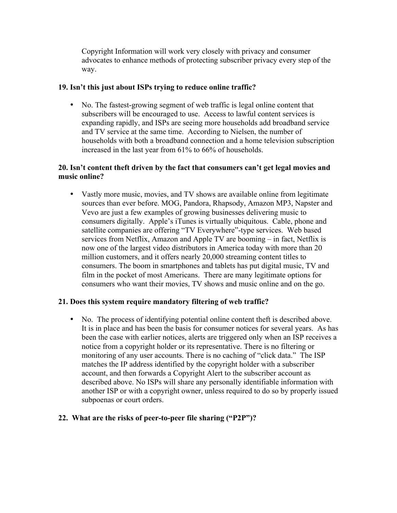Copyright Information will work very closely with privacy and consumer advocates to enhance methods of protecting subscriber privacy every step of the way.

# **19. Isn't this just about ISPs trying to reduce online traffic?**

• No. The fastest-growing segment of web traffic is legal online content that subscribers will be encouraged to use. Access to lawful content services is expanding rapidly, and ISPs are seeing more households add broadband service and TV service at the same time. According to Nielsen, the number of households with both a broadband connection and a home television subscription increased in the last year from 61% to 66% of households.

# **20. Isn't content theft driven by the fact that consumers can't get legal movies and music online?**

• Vastly more music, movies, and TV shows are available online from legitimate sources than ever before. MOG, Pandora, Rhapsody, Amazon MP3, Napster and Vevo are just a few examples of growing businesses delivering music to consumers digitally. Apple's iTunes is virtually ubiquitous. Cable, phone and satellite companies are offering "TV Everywhere"-type services. Web based services from Netflix, Amazon and Apple TV are booming – in fact, Netflix is now one of the largest video distributors in America today with more than 20 million customers, and it offers nearly 20,000 streaming content titles to consumers. The boom in smartphones and tablets has put digital music, TV and film in the pocket of most Americans. There are many legitimate options for consumers who want their movies, TV shows and music online and on the go.

### **21. Does this system require mandatory filtering of web traffic?**

• No. The process of identifying potential online content theft is described above. It is in place and has been the basis for consumer notices for several years. As has been the case with earlier notices, alerts are triggered only when an ISP receives a notice from a copyright holder or its representative. There is no filtering or monitoring of any user accounts. There is no caching of "click data." The ISP matches the IP address identified by the copyright holder with a subscriber account, and then forwards a Copyright Alert to the subscriber account as described above. No ISPs will share any personally identifiable information with another ISP or with a copyright owner, unless required to do so by properly issued subpoenas or court orders.

# **22. What are the risks of peer-to-peer file sharing ("P2P")?**